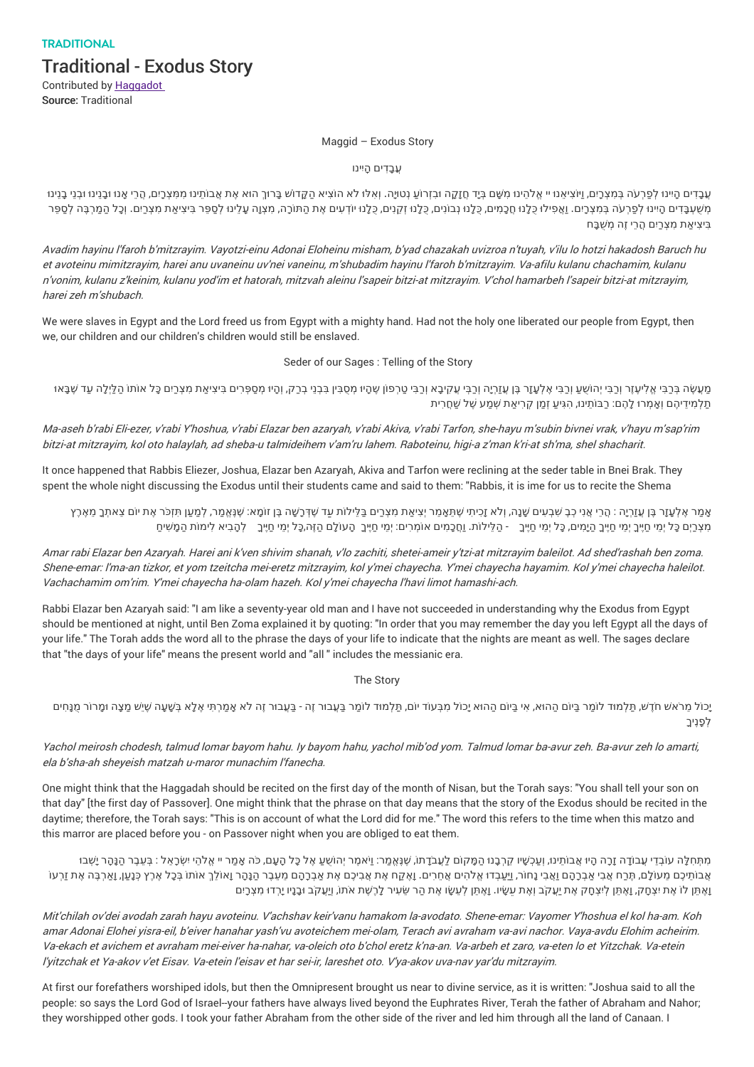**TRADITIONAL** Traditional - Exodus Story

Contributed by Haggadot Source: Traditional

## Maggid – Exodus Story

עבדים היִינו

עְבָדִים הָיינוּ לְפַרְעֹה בְּמִצְרָים, וַיֹּצִיאַנוּ יי אֱלֹהִינוּ מִשָּׁם בְּדַ חֲזָקָה וּבְזְרוֹעַ נְטוּיָה. וְאִלּוּ לֹא הוֹצִיא הַקָּדוֹש בָּרוּךְ הוּא אֶת אֲבוֹתֵינוּ מִמְצְרָים, הָרֵי אָנוּ וּבָנִינוּ וּבְנֵי בָנִינ מְשִׁעְבַּדִים הָיינוּ לְפַרְעֹה בְּמִצְרָים. וַאֲפִילוּ כֻּלָנוּ חֲכָמִים, כֻּלָנוּ נְבוֹנִים, כֻלָנוּ זְקוָים, כֻלָנוּ חֲכָמִים, כֻלָנוּ הָנוֹנִים, כֻלָנוּ זְקוָים, כָּלָנוּ חֲכָמִים, כָּלָנוּ הָכָמִים, כָּלָנוּ הָכָמִים בִּיצִי ַאת ִמצְרַיִם ֲהרֵי זֶה ְמ ֻׁשבָּח

Avadim hayinu l'faroh b'mitzrayim. Vayotzi-einu Adonai Eloheinu misham, b'yad chazakah uvizroa <sup>n</sup>'tuyah, <sup>v</sup>'ilu lo hotzi hakadosh Baruch hu et avoteinu mimitzrayim, harei anu uvaneinu uv'nei vaneinu, <sup>m</sup>'shubadim hayinu l'faroh b'mitzrayim. Va-afilu kulanu chachamim, kulanu <sup>n</sup>'vonim, kulanu <sup>z</sup>'keinim, kulanu yod'im et hatorah, mitzvah aleinu l'sapeir bitzi-at mitzrayim. V'chol hamarbeh l'sapeir bitzi-at mitzrayim, harei zeh <sup>m</sup>'shubach.

We were slaves in Egypt and the Lord freed us from Egypt with a mighty hand. Had not the holy one liberated our people from Egypt, then we, our children and our children's children would still be enslaved.

## Seder of our Sages : Telling of the Story

מַעְשָׂה בְּכַבִּי אֱלִיעָזָר וְכַבִּי יְהוֹשֻעַ וְכַבִּי אֶלְעָזָר בֶּן עֲזַרְיֶה וְכַבְּי עֲקִיבָא וְכַבִּי טַרְפוֹן שֶׁהָיוּ מְסֻבִּין בְּבָי בְרַק, וְהוּ מְסַפְּרִים בִּיצִיאַת מִצְרַים כָּל אוֹתוֹ הַלַּיְלָה עַד שָׁבָ תַלְמִידֵיהֶם וְאָמְרוּ לָהֶם: רַבּוֹתֵינוּ, הִגִּיעַ זְמַן קְרִיאַת שְׁמַע שֶׁל שַׁחֲרִית

Ma-aseh b'rabi Eli-ezer, <sup>v</sup>'rabi Y'hoshua, <sup>v</sup>'rabi Elazar ben azaryah, <sup>v</sup>'rabi Akiva, <sup>v</sup>'rabi Tarfon, she-hayu <sup>m</sup>'subin bivnei vrak, <sup>v</sup>'hayu <sup>m</sup>'sap'rim bitzi-at mitzrayim, kol oto halaylah, ad sheba-u talmideihem <sup>v</sup>'am'ru lahem. Raboteinu, higi-a <sup>z</sup>'man k'ri-at sh'ma, shel shacharit.

It once happened that Rabbis Eliezer, Joshua, Elazar ben Azaryah, Akiva and Tarfon were reclining at the seder table in Bnei Brak. They spent the whole night discussing the Exodus until their students came and said to them: "Rabbis, it is ime for us to recite the Shema

אַמר אָלְעַזַר בֵּן עֳזרָיַה : הֶרי אֲני כָבָ שִׁבְעים שַׁנַה, וְלֹא זַכִיתי שֶׁתִּאֲמֹר יִציאת מצרים בלילות עד שֶׁדְרָשֶׁה בֶּן זוֹמֵא: שֶׁנָּאֲמֹר, למען תּזְכֹּר אֶת יוֹם צאתְךָ מאֶרֶץ ַמְצְרַיִם כָּל יְמֵי חֵיֶּיךָ יְמֵי חֵיֶּיךָ הָיָמִים, כָּל יְמִי חֵיֶּךָ - הַלֵּילוֹת. וַחָכָמִים אוֹמְרִים: יְמִי חַיֶּךָ הַעוֹלָם הַזֶּה,כָּל יְמֵי חַיֶּךָ לְהָבִיא לִימוֹת הַמָּשִׁיחַ

Amar rabi Elazar ben Azaryah. Harei ani k'ven shivim shanah, <sup>v</sup>'lo zachiti, shetei-ameir y'tzi-at mitzrayim baleilot. Ad shed'rashah ben zoma. Shene-emar: l'ma-an tizkor, et yom tzeitcha mei-eretz mitzrayim, kol y'mei chayecha. Y'mei chayecha hayamim. Kol y'mei chayecha haleilot. Vachachamim om'rim. Y'mei chayecha ha-olam hazeh. Kol y'mei chayecha l'havi limot hamashi-ach.

Rabbi Elazar ben Azaryah said: "I am like a seventy-year old man and I have not succeeded in understanding why the Exodus from Egypt should be mentioned at night, until Ben Zoma explained it by quoting: "In order that you may remember the day you left Egypt all the days of your life." The Torah adds the word all to the phrase the days of your life to indicate that the nights are meant as well. The sages declare that "the days of your life" means the present world and "all " includes the messianic era.

The Story

יַכוֹל מְרֹאש חֹדָש, תַּלְמוּד לוֹמַר בִּיוֹם הַהוּא, אִי בִּיוֹם הַהוּא יַכוֹל מִבְּעוֹד יוֹם, תַּלְמוּד לוֹמַר בַּעֲבוּר זֶה - בַּעֲבוּר זֶה לֹא אַמַרְתִּי אֶלָא בִּשָּׁעַה שִׁיַש מַצָּה וּמַרוֹר מָנֵחִים לְפָנֶיךָ

Yachol meirosh chodesh, talmud lomar bayom hahu. Iy bayom hahu, yachol mib'od yom. Talmud lomar ba-avur zeh. Ba-avur zeh lo amarti, ela b'sha-ah sheyeish matzah u-maror munachim l'fanecha.

One might think that the Haggadah should be recited on the first day of the month of Nisan, but the Torah says: "You shall tell your son on that day" [the first day of Passover]. One might think that the phrase on that day means that the story of the Exodus should be recited in the daytime; therefore, the Torah says: "This is on account of what the Lord did for me." The word this refers to the time when this matzo and this marror are placed before you - on Passover night when you are obliged to eat them.

מִתְּחָלָּה עוֹבְדֵי עֲבוֹדָה זָרָה הָיוּ אֲבוֹתֵינוּ, וְעַכְשָׁיו קַרְבָנוּ הַמַּקוֹם לַעֲבֹדֶתוֹ, שָׁנָּאֲמַר: וַיֹּאמַר יְהוֹשָׁעַ אֶל כָּל הָעָם, כֹּה אֲמַר יי אֱלהָי יִשְׂרָאֵל : בְּעֵבֶר הַנָּהַר יָשְׁבוּ ָאָבוֹתִיכֶם מֶעוֹלַם, תֶּרַח אָבִי אַבְרָהֶם וַאֲבִי נַחוֹר, וַיַּעֲבְדוּ אֱלֹהִים אֲחֵרִים. וַאֶקַח אֶת אֲבִיכֶם אֶת אֲבְרָהֶם מֶעבֶר הַנַּהַר וַאוֹלֶךְ אוֹתוֹ בְּכַל אֶרֶץ כְּנָען, וַאֲרִבֶּה אֶת זַרְעוֹ וָאָתֵן לוֹ אֶת יִצְחָק, וָאֶתֵּן לִיצְחָק אֶת יַעֲקֹב וְאֶת עֲשָׂיו. וָאֶתֵּן לְעֵשֶׂו אֶת הַר שֵׂעִיר לָרֶשֶׁת אֹתוֹ, וַיַּעֲקֹב וּבָנָיו יָרְדוּ מִצְרַיִם

Mit'chilah ov'dei avodah zarah hayu avoteinu. V'achshav keir'vanu hamakom la-avodato. Shene-emar: Vayomer Y'hoshua el kol ha-am. Koh amar Adonai Elohei yisra-eil, b'eiver hanahar yash'vu avoteichem mei-olam, Terach avi avraham va-avi nachor. Vaya-avdu Elohim acheirim. Va-ekach et avichem et avraham mei-eiver ha-nahar, va-oleich oto b'chol eretz k'na-an. Va-arbeh et zaro, va-eten lo et Yitzchak. Va-etein l'yitzchak et Ya-akov <sup>v</sup>'et Eisav. Va-etein l'eisav et har sei-ir, lareshet oto. V'ya-akov uva-nav yar'du mitzrayim.

At first our forefathers worshiped idols, but then the Omnipresent brought us near to divine service, as it is written: "Joshua said to all the people: so says the Lord God of Israel--your fathers have always lived beyond the Euphrates River, Terah the father of Abraham and Nahor; they worshipped other gods. I took your father Abraham from the other side of the river and led him through all the land of Canaan. I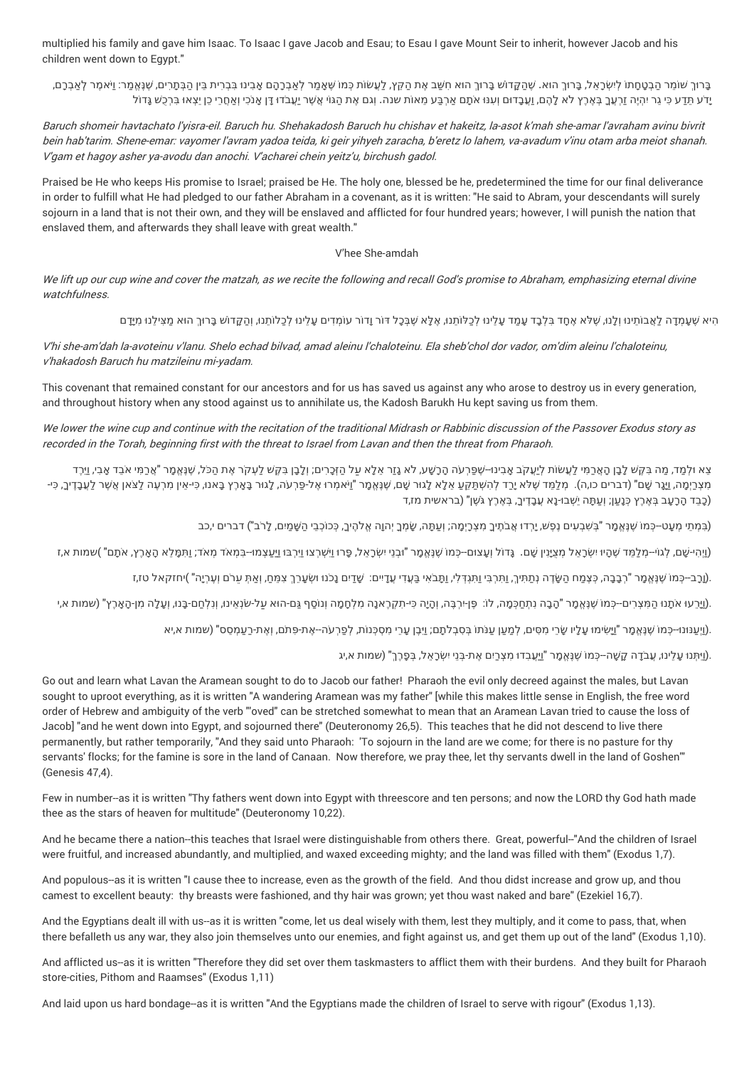multiplied his family and gave him Isaac. To Isaac I gave Jacob and Esau; to Esau I gave Mount Seir to inherit, however Jacob and his children went down to Egypt."

בֵּרוּךְ שׁוֹמֵר הַבְטַחַתוֹ לִישְׂרַאֶל, בֵּרוּךְ הוּא. שֶׁהַקֲדוֹשׁ בַּרוּךְ הוּא חִשַּׁב אֶת הַקֵּץ, לַעֲשׂוֹת כִמוֹ שָׁאֲמֵר לְאַבְרַהַם אֲבִינוּ בָּבִרִית בֵּין הַבְּתַרִים, שַׁנְּאֲמַר: וַיֹּאמֵר לְאַבְרַם, יָדע תָּדַע כִּי גֵר יִהְיֶה זַרְעָךָ בְּאָרֶץ לֹא לָהֶם, וַעֲבָדוּם וְעִנּוּ אֹתָם אַרְבַּע מֶאוֹת שנה. וְגם אֶת הַגּוֹי אֲשֶׁר יַעֲבֹדוּ דָּן אֲנֹכִי וְאֲחֲרֵי כֵן יֵצְאוּ בִרְכֵשׁ גַּדוֹל

Baruch shomeir havtachato l'yisra-eil. Baruch hu. Shehakadosh Baruch hu chishav et hakeitz, la-asot k'mah she-amar l'avraham avinu bivrit bein hab'tarim. Shene-emar: vayomer l'avram yadoa teida, ki geir yihyeh zaracha, b'eretz lo lahem, va-avadum <sup>v</sup>'inu otam arba meiot shanah. V'gam et hagoy asher ya-avodu dan anochi. V'acharei chein yeitz'u, birchush gadol.

Praised be He who keeps His promise to Israel; praised be He. The holy one, blessed be he, predetermined the time for our final deliverance in order to fulfill what He had pledged to our father Abraham in a covenant, as it is written: "He said to Abram, your descendants will surely sojourn in a land that is not their own, and they will be enslaved and afflicted for four hundred years; however, I will punish the nation that enslaved them, and afterwards they shall leave with great wealth."

## V'hee She-amdah

We lift up our cup wine and cover the matzah, as we recite the following and recall God's promise to Abraham, emphasizing eternal divine watchfulness.

הִיא שֶׁעָמְדָה לַאֲבוֹתֵינוּ וְלָנוּ, שָׁלֹא אֶחָד בִּלְבָד עָמַד עָלֵינוּ לְכַלוֹתֵנוּ, אֶלָּא שֶׁבְּכָל דוֹר וָדוֹר עוֹמְדִים עָלֵינוּ לְכַלוֹתַנוּ, וְהַקָּדוֹשׁ בָּרוּךְ הוּא מַצִּילַנוּ מִיָּדָם

V'hi she-am'dah la-avoteinu <sup>v</sup>'lanu. Shelo echad bilvad, amad aleinu l'chaloteinu. Ela sheb'chol dor vador, om'dim aleinu l'chaloteinu, <sup>v</sup>'hakadosh Baruch hu matzileinu mi-yadam.

This covenant that remained constant for our ancestors and for us has saved us against any who arose to destroy us in every generation, and throughout history when any stood against us to annihilate us, the Kadosh Barukh Hu kept saving us from them.

We lower the wine cup and continue with the recitation of the traditional Midrash or Rabbinic discussion of the Passover Exodus story as recorded in the Torah, beginning first with the threat to Israel from Lavan and then the threat from Pharaoh.

צא ולמד, מה בקש לבן הארמי לעשות ליעקב אבינו--שפרעה הרשע, לא גזר אלא על הזכרים; ולבן בקש לעקר את הכל, שנאמר "ארמי אבד אבי, וירד מִצְרַיְמָה, וַיָּנָר שֶׁם" (דברים כו,ה). מְלַמֵּד שֶׁלֹא יָרַד לְהִשְׁתַּקֵּעַ אֵלָא לָגוּר שֶׁם, שֶׁנְּאֱמָר "וַיֹּאמְרוּ אֶל-פַּרְעֹה, לָגוּר בָּאָרֶץ בָּאנוּ, כִּי-אֵין מִרְעֶה לַצֹאן אֲשֶׁר לַעֲבָדֶיךָ, כִּי-(כָבֵד הָרָעָב בְּאֶרֶץ כְּנַעֲן; וְעַתָּה יֵשְׁבוּ-נָא עֲבָדֶיךָ, בְּאֶרֶץ גֹּשֶׁן" (בראשית מז,ד)

(בִּמְתֵי מְעָט--כְּמוֹ שֶׁנֶּאֱמָר "בִּשְׁבָעִים נֶפֶשׁ, יָרְדוּ אֲבֹתֶיךָ מִצְרָיְמֶה, שָׂמְרָ יְהוָה אֱלֹהֶיךָ, כְּכוֹכְבֵי הַשָּׁמַיִם, לַרב") דברים י,כב

(וַיְהִי-שֶׁם, לְגוֹי–מְלַמֵּד שֶׁהָיוּ יִשְׂרָאֵל מְצֻיָּנִין שַׁם. גָּדוֹל וְעַצוּם–כְּמוֹ שֶׁנֶּאֱמָר "וּבְנֵי יִשְׂרָאֵל, פָרוּ וַיִּשְׁרָצוּ וְעַרְבוּ וַיִּשְׂרָאֵל, מִבְנוּ וֹאֲרָאֶל, מִבְנוּ וֹאֲרָאֱל, פְרוּ נִישְ ּ

ָעָרָב--כְּמוֹ שֶׁנָּאֱמָר "רְבָבָה, כְּצָמַח הַשָּׂדֶה נְתַתִּיךָ, וַתִּרְבִּי וַתִּנְדְּלִי, וַתַּבֹאִי בַּעְדִי עָדָים: שָׁדַים נָכֹנוּ וּשְׂעָרֵךְ צִמַּחַ, וְאַתְּ עַרֹם וְעָרְיָה" )יחזקאל טז,ז

.(עֵרֵעוּ אֹתָנוּ הַמִּצְרִים–כְּמוֹ שֶׁנֶּאֱמָר "הָבָה נִתְחַכְּמָה, לוֹ: פֶן⊦רְבֶּה, וְהָיֶה כִּי-תִקְרֶאנָה מִלְחָמָה וְנוֹסֵף גַּם-הוּא עַל-שֹׂנְאֵינוּ, וְנִלְחַם-בָּנוּ, וְעָלָה מִן-הָאָרֶץ" (שמות א,י

ְטֵי (וַיַּעֲנּוּגוּ--כְּמוֹ שֶׁנָּאֱמֶר "וַיָּשִׂימוּ עָלָיו שֶׂרֶי מִסִּים, לְמַעֲן עֲנֹתוֹ בְּסָבְלֹתֶם; וַיָּבֶן עָרֵי מְסכְּנוֹת, לְפַרְ עֹה--אֶת-פִּתֹם, וְאֶת-רַעֲמְסֵס" (שמות א,יא

ָנֵאֲמָר "וַיַּעֲבְדוּ מְצְרַיִם אֶת-בְּנֵי יִשְׂרָאֵל, בְּפֶרֶךְ" (שמות א,יג). ּ

Go out and learn what Lavan the Aramean sought to do to Jacob our father! Pharaoh the evil only decreed against the males, but Lavan sought to uproot everything, as it is written "A wandering Aramean was my father" [while this makes little sense in English, the free word order of Hebrew and ambiguity of the verb "'oved" can be stretched somewhat to mean that an Aramean Lavan tried to cause the loss of Jacob] "and he went down into Egypt, and sojourned there" (Deuteronomy 26,5). This teaches that he did not descend to live there permanently, but rather temporarily, "And they said unto Pharaoh: 'To sojourn in the land are we come; for there is no pasture for thy servants' flocks; for the famine is sore in the land of Canaan. Now therefore, we pray thee, let thy servants dwell in the land of Goshen'" (Genesis 47,4).

Few in number--as it is written "Thy fathers went down into Egypt with threescore and ten persons; and now the LORD thy God hath made thee as the stars of heaven for multitude" (Deuteronomy 10,22).

And he became there a nation--this teaches that Israel were distinguishable from others there. Great, powerful--"And the children of Israel were fruitful, and increased abundantly, and multiplied, and waxed exceeding mighty; and the land was filled with them" (Exodus 1,7).

And populous--as it is written "I cause thee to increase, even as the growth of the field. And thou didst increase and grow up, and thou camest to excellent beauty: thy breasts were fashioned, and thy hair was grown; yet thou wast naked and bare" (Ezekiel 16,7).

And the Egyptians dealt ill with us--as it is written "come, let us deal wisely with them, lest they multiply, and it come to pass, that, when there befalleth us any war, they also join themselves unto our enemies, and fight against us, and get them up out of the land" (Exodus 1,10).

And afflicted us--as it is written "Therefore they did set over them taskmasters to afflict them with their burdens. And they built for Pharaoh store-cities, Pithom and Raamses" (Exodus 1,11)

And laid upon us hard bondage--as it is written "And the Egyptians made the children of Israel to serve with rigour" (Exodus 1,13).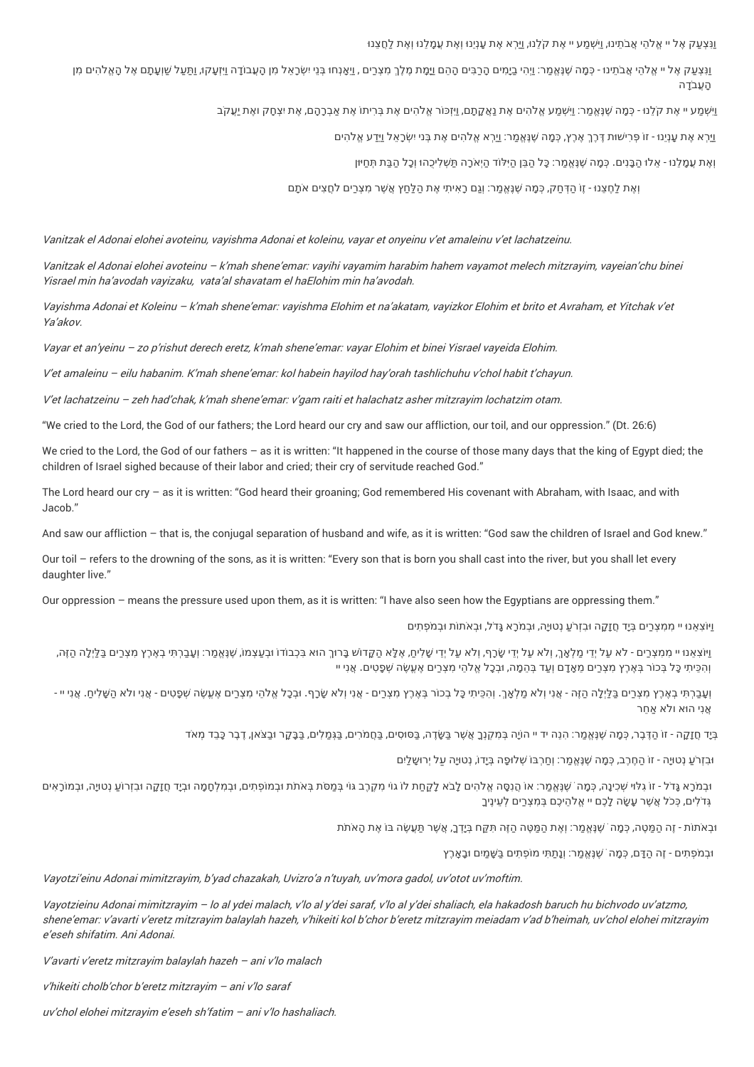וַנִּצְעַק אֶל יי אֱלֹהֵי אֲבֹתֵינוּ, וַיִּשְׁמַע יי אֶת קֹלֶנוּ, וַיַּרְא אֶת עָנְיֵנוּ וְאֶת עֲמָלֵנוּ וְאֶת לַחֲצֵנוּ ּ

וַנִּצְעַק אָל יי אֱלֹהֵי אֲבֹתֵינוּ - כְּמָה שֶׁנֶּאֱמַר: וַיְהִי בָיָמִים הָבִבִּים הָהֵם וַ**יָּמַת מֶלֶךְ מִצְבִים, וַיַאָנְחוּ בְּנֵ**י יִשְׂכָאֵל מִן הָעֲבוֹדָה וַיַּזְעַקוּ, וַתַּעַל שַׁוְעָתָם אֶל הָאֱלֹהִים מִן העבדה

> וַיִּשְׁמַע יי אֶת קֹלֶנוּ - כְּמָה שֶׁנֶּאֱמַר: וַיִּשְׁמַע אֱלֹהִים אֶת נַאֲקָתָם, וַיְזְכּוֹר אֱלֹהִים אֶת בְּרִיתוֹ אֶת אַבְרָהָם, אֶת יִצְחָק ואֶת יַעֲקֹב ּ ּ

> > וַיַּרְא ֶאת ָענְיֵנו -ּ ז ֹו ּת ּפְרִי ׁשו ֶדּרֶךְ ֶארֶץ, כְּ ָמה ֶׁשנֱֶּא ַמר: וַיַרְא ֱא ֹל ִהים ֶאת בְּני יִ ְׂשרָ ֵאל וַיֵַּדע ֱא ֹל ִהים

וְאֶת עֲמָלֵנוּ - אֵלוּ הַבָּנִים. כְּמָה שֶׁנֶּאֱמַר: כָּל הַבֵּן הַיִּלוֹד הַיְאֹרָה תַּשְׁלִיכֻהוּ וְכָל הַבַּת תְּחַיּון

וְאֶת לַחֵצֶנוּ - זֶוֹ הַדְּחַק, כְּמַה שֶׁנֵּאֱמַר: וְגַם רַאִיתִי אֶת הַלַּחַץ אֲשֶׁר מְצָרַים לֹחֲצִים אֹתֵם

Vanitzak el Adonai elohei avoteinu, vayishma Adonai et koleinu, vayar et onyeinu <sup>v</sup>'et amaleinu <sup>v</sup>'et lachatzeinu.

Vanitzak el Adonai elohei avoteinu – k'mah shene'emar: vayihi vayamim harabim hahem vayamot melech mitzrayim, vayeian'chu binei Yisrael min ha'avodah vayizaku, vata'al shavatam el haElohim min ha'avodah.

Vayishma Adonai et Koleinu – k'mah shene'emar: vayishma Elohim et na'akatam, vayizkor Elohim et brito et Avraham, et Yitchak <sup>v</sup>'et Ya'akov.

Vayar et an'yeinu – zo p'rishut derech eretz, k'mah shene'emar: vayar Elohim et binei Yisrael vayeida Elohim.

V'et amaleinu – eilu habanim. K'mah shene'emar: kol habein hayilod hay'orah tashlichuhu <sup>v</sup>'chol habit <sup>t</sup>'chayun.

V'et lachatzeinu – zeh had'chak, k'mah shene'emar: <sup>v</sup>'gam raiti et halachatz asher mitzrayim lochatzim otam.

"We cried to the Lord, the God of our fathers; the Lord heard our cry and saw our affliction, our toil, and our oppression." (Dt. 26:6)

We cried to the Lord, the God of our fathers - as it is written: "It happened in the course of those many days that the king of Egypt died; the children of Israel sighed because of their labor and cried; their cry of servitude reached God."

The Lord heard our cry – as it is written: "God heard their groaning; God remembered His covenant with Abraham, with Isaac, and with Jacob."

And saw our affliction – that is, the conjugal separation of husband and wife, as it is written: "God saw the children of Israel and God knew."

Our toil – refers to the drowning of the sons, as it is written: "Every son that is born you shall cast into the river, but you shall let every daughter live."

Our oppression – means the pressure used upon them, as it is written: "I have also seen how the Egyptians are oppressing them."

ֿױַ יִּמְצְרַים בְּיָד חֲזָקָה וּבִזְרֹעַ נְטוּיָה, וּבְמֹרָא גָּדֹל, וּבְאֹתוֹת וּבְמֹפְתִים

וַיֹּוֹצְאֵנוּ יי מִמְצְרַים - לא עַל יְדֵי מַלְאָךָ, וְלא עַל יְדֵי שֹׁכָף, וְלֹא עַל יְדֵי שָׁלִים, אָלָא הַקֲדוֹשׁ בָּרוּךְ הוּא בִּכְבוֹדוֹ וּבְעַצְמוֹ, שֶׁנְּאֱמַר: וְעֲבָרְתִּי בְאֶרֶץ מִצְרַים בַּלֵיְלָה הַזֶּה, וְהכִּיתִי כַּל בְּכוֹר בִּאֶרֶץ מצְרִים מאַדַם וְעד בְּהמֵה, וּבְכָל אֱלֹהי מצְרִים אֶעֱשֶׂה שְׁפַטים. אֱנִי יי

וְעֲבַרְתִּי בְאֶרֶץ מִצְרַים בַּלֵיְלָה הַזֶּה - אָנִי וְלֹא מַלְאָךָ. וְהִכֵּיתִי כָּל בְכוֹר בְּאֶרֶץ מִצְרַים - אֵנִי וְלֹא שָׂרָף. וּבְכָל אֱלֹהֵי מִצְרַים שְּעֲשֶׂה שְׁפָטִים - אַנִי ולא הַשָּׁלִיחַ. אֲנִי יי -אני הוּא ולא אחר

ּבְּיָד חֲזָקָה - זוֹ הַדֶּבֶר, כְּמָה שֶׁנְּאֱמַר: הִנֵּה יד יי היֹוָה בְּמִקְנְךָ אֲשֶׁר בַּשָּׂדֶה, בַּסוּסִים, בַּחֲמֹיִים, בַּבָּקָר וּבַצֹּאן, דֶבֶר כָּבֵד מְאֹד

וּבְזְרֹעֲ נְטוּיַּה - זוֹ הַחֶרֶב, כְּמַה שֶׁנֶּאֶמַר: וְחַרְבּוֹ שְׁלוּפָה בְּיַדוֹ, נְטוּיַּה עַל יִרוּשֶׁלַיִּם

ובמרא גדל - זו גלוי שכינה, כמה שגאמר: או הנסה אלהים לבא לקחת לו גוי מקרב גוי במסת באתת ובמופתים, ובמלחמה וביד חזקה ובזרוע נטייה, ובמוראים גְ ּ ֹדלִים, כְּ ֹכל ֲא ֶׁשר עָ ָׂשה לָכֶם יי ֱא ֹל ֵהיכֶם בְּ ִמצְרַים לְ ֵעינֶיךָ

וּבְאֹתוֹת - זֶה הַמֵּטֶה, כְּמַה ֹשֶׁנֵּאֲמַר: וְאֶת הַמַּטֶּה הַזֶּה תִּקַּח בְּיַדְךָ, אֲשֶׁר תַּעֲשֶׂה בּוֹ אֶת הַאֹתֹת

ו ּבְ ֹמפְתִים - זֶה ַה ָדּם, כְּ ָמה ֹ ֶׁשנֱֶּא ַמר: וְנָתַ ּתִי מ ֹופְתִים בַּ ָּׁש ַמיִם ו ּבָ ָארֶץ

Vayotzi'einu Adonai mimitzrayim, b'yad chazakah, Uvizro'a <sup>n</sup>'tuyah, uv'mora gadol, uv'otot uv'moftim.

Vayotzieinu Adonai mimitzrayim – lo al ydei malach, <sup>v</sup>'lo al y'dei saraf, <sup>v</sup>'lo al y'dei shaliach, ela hakadosh baruch hu bichvodo uv'atzmo, shene'emar: <sup>v</sup>'avarti <sup>v</sup>'eretz mitzrayim balaylah hazeh, <sup>v</sup>'hikeiti kol b'chor b'eretz mitzrayim meiadam <sup>v</sup>'ad b'heimah, uv'chol elohei mitzrayim e'eseh shifatim. Ani Adonai.

V'avarti <sup>v</sup>'eretz mitzrayim balaylah hazeh – ani <sup>v</sup>'lo malach

<sup>v</sup>'hikeiti cholb'chor b'eretz mitzrayim – ani <sup>v</sup>'lo saraf

uv'chol elohei mitzrayim <sup>e</sup>'eseh sh'fatim – ani <sup>v</sup>'lo hashaliach.